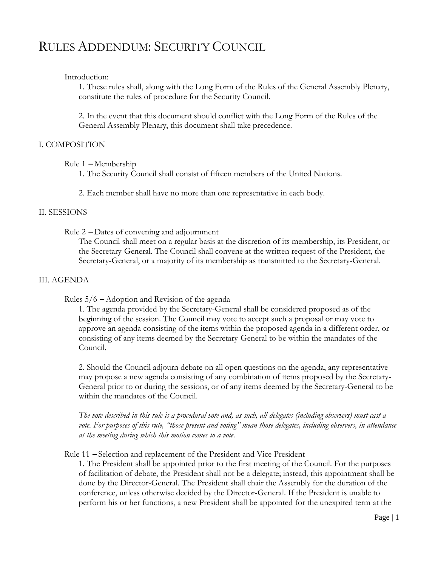# RULES ADDENDUM: SECURITY COUNCIL

## Introduction:

1. These rules shall, along with the Long Form of the Rules of the General Assembly Plenary, constitute the rules of procedure for the Security Council.

2. In the event that this document should conflict with the Long Form of the Rules of the General Assembly Plenary, this document shall take precedence.

## I. COMPOSITION

## Rule 1 **–** Membership

1. The Security Council shall consist of fifteen members of the United Nations.

2. Each member shall have no more than one representative in each body.

## II. SESSIONS

Rule 2 **–** Dates of convening and adjournment

The Council shall meet on a regular basis at the discretion of its membership, its President, or the Secretary-General. The Council shall convene at the written request of the President, the Secretary-General, or a majority of its membership as transmitted to the Secretary-General.

## III. AGENDA

## Rules 5/6 **–** Adoption and Revision of the agenda

1. The agenda provided by the Secretary-General shall be considered proposed as of the beginning of the session. The Council may vote to accept such a proposal or may vote to approve an agenda consisting of the items within the proposed agenda in a different order, or consisting of any items deemed by the Secretary-General to be within the mandates of the Council.

2. Should the Council adjourn debate on all open questions on the agenda, any representative may propose a new agenda consisting of any combination of items proposed by the Secretary-General prior to or during the sessions, or of any items deemed by the Secretary-General to be within the mandates of the Council.

*The vote described in this rule is a procedural vote and, as such, all delegates (including observers) must cast a vote. For purposes of this rule, "those present and voting" mean those delegates, including observers, in attendance at the meeting during which this motion comes to a vote.* 

Rule 11 **–** Selection and replacement of the President and Vice President

1. The President shall be appointed prior to the first meeting of the Council. For the purposes of facilitation of debate, the President shall not be a delegate; instead, this appointment shall be done by the Director-General. The President shall chair the Assembly for the duration of the conference, unless otherwise decided by the Director-General. If the President is unable to perform his or her functions, a new President shall be appointed for the unexpired term at the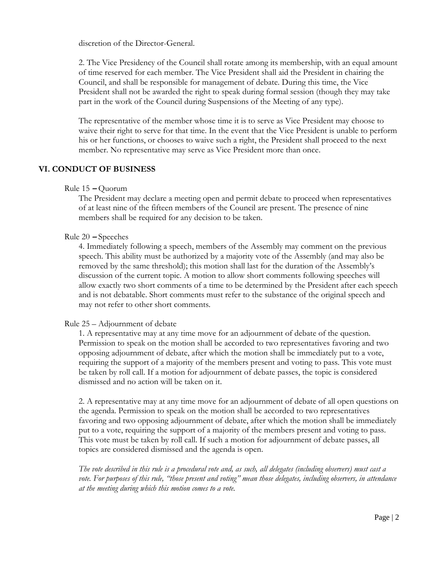discretion of the Director-General.

2. The Vice Presidency of the Council shall rotate among its membership, with an equal amount of time reserved for each member. The Vice President shall aid the President in chairing the Council, and shall be responsible for management of debate. During this time, the Vice President shall not be awarded the right to speak during formal session (though they may take part in the work of the Council during Suspensions of the Meeting of any type).

The representative of the member whose time it is to serve as Vice President may choose to waive their right to serve for that time. In the event that the Vice President is unable to perform his or her functions, or chooses to waive such a right, the President shall proceed to the next member. No representative may serve as Vice President more than once.

## **VI. CONDUCT OF BUSINESS**

Rule 15 **–** Quorum

The President may declare a meeting open and permit debate to proceed when representatives of at least nine of the fifteen members of the Council are present. The presence of nine members shall be required for any decision to be taken.

## Rule 20 **–** Speeches

4. Immediately following a speech, members of the Assembly may comment on the previous speech. This ability must be authorized by a majority vote of the Assembly (and may also be removed by the same threshold); this motion shall last for the duration of the Assembly's discussion of the current topic. A motion to allow short comments following speeches will allow exactly two short comments of a time to be determined by the President after each speech and is not debatable. Short comments must refer to the substance of the original speech and may not refer to other short comments.

## Rule 25 – Adjournment of debate

1. A representative may at any time move for an adjournment of debate of the question. Permission to speak on the motion shall be accorded to two representatives favoring and two opposing adjournment of debate, after which the motion shall be immediately put to a vote, requiring the support of a majority of the members present and voting to pass. This vote must be taken by roll call. If a motion for adjournment of debate passes, the topic is considered dismissed and no action will be taken on it.

2. A representative may at any time move for an adjournment of debate of all open questions on the agenda. Permission to speak on the motion shall be accorded to two representatives favoring and two opposing adjournment of debate, after which the motion shall be immediately put to a vote, requiring the support of a majority of the members present and voting to pass. This vote must be taken by roll call. If such a motion for adjournment of debate passes, all topics are considered dismissed and the agenda is open.

*The vote described in this rule is a procedural vote and, as such, all delegates (including observers) must cast a vote. For purposes of this rule, "those present and voting" mean those delegates, including observers, in attendance at the meeting during which this motion comes to a vote.*